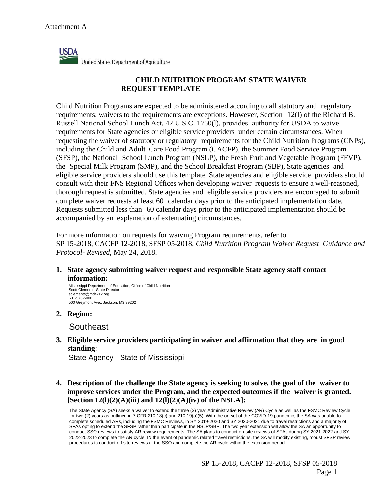

United States Department of Agriculture

## **CHILD NUTRITION PROGRAM STATE WAIVER REQUEST TEMPLATE**

Child Nutrition Programs are expected to be administered according to all statutory and regulatory requirements; waivers to the requirements are exceptions. However, Section 12(l) of the Richard B. Russell National School Lunch Act, 42 U.S.C. 1760(l), provides authority for USDA to waive requirements for State agencies or eligible service providers under certain circumstances. When requesting the waiver of statutory or regulatory requirements for the Child Nutrition Programs (CNPs), including the Child and Adult Care Food Program (CACFP), the Summer Food Service Program (SFSP), the National School Lunch Program (NSLP), the Fresh Fruit and Vegetable Program (FFVP), the Special Milk Program (SMP), and the School Breakfast Program (SBP), State agencies and eligible service providers should use this template. State agencies and eligible service providers should consult with their FNS Regional Offices when developing waiver requests to ensure a well-reasoned, thorough request is submitted. State agencies and eligible service providers are encouraged to submit complete waiver requests at least 60 calendar days prior to the anticipated implementation date. Requests submitted less than 60 calendar days prior to the anticipated implementation should be accompanied by an explanation of extenuating circumstances.

For more information on requests for waiving Program requirements, refer to SP 15-2018, CACFP 12-2018, SFSP 05-2018, *Child Nutrition Program Waiver Request Guidance and Protocol- Revised*, May 24, 2018.

**1. State agency submitting waiver request and responsible State agency staff contact information:**

Mississippi Department of Education, Office of Child Nutrition Scott Clements, State Director sclements@mdek12.org 601-576-5000 500 Greymont Ave,, Jackson, MS 39202

**2. Region:**

**Southeast** 

**3. Eligible service providers participating in waiver and affirmation that they are in good standing:**

State Agency - State of Mississippi

**4. Description of the challenge the State agency is seeking to solve, the goal of the waiver to improve services under the Program, and the expected outcomes if the waiver is granted. [Section 12(l)(2)(A)(iii) and 12(l)(2)(A)(iv) of the NSLA]:**

The State Agency (SA) seeks a waiver to extend the three (3) year Administrative Review (AR) Cycle as well as the FSMC Review Cycle for two (2) years as outlined in 7 CFR 210.18(c) and 210.19(a)(5). With the on-set of the COVID-19 pandemic, the SA was unable to complete scheduled ARs, including the FSMC Reviews, in SY 2019-2020 and SY 2020-2021 due to travel restrictions and a majority of SFAs opting to extend the SFSP rather than participate in the NSLP/SBP. The two year extension will allow the SA an opportunity to conduct SSO reviews to satisfy AR review requirements. The SA plans to conduct on-site reviews of SFAs during SY 2021-2022 and SY 2022-2023 to complete the AR cycle. IN the event of pandemic related travel restrictions, the SA will modify existing, robust SFSP review procedures to conduct off-site reviews of the SSO and complete the AR cycle within the extension period.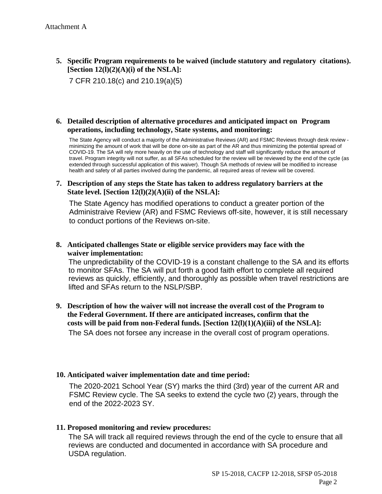**5. Specific Program requirements to be waived (include statutory and regulatory citations). [Section 12(l)(2)(A)(i) of the NSLA]:**

7 CFR 210.18(c) and 210.19(a)(5)

#### **6. Detailed description of alternative procedures and anticipated impact on Program operations, including technology, State systems, and monitoring:**

The State Agency will conduct a majority of the Administrative Reviews (AR) and FSMC Reviews through desk review minimizing the amount of work that will be done on-site as part of the AR and thus minimizing the potential spread of COVID-19. The SA will rely more heavily on the use of technology and staff will significantly reduce the amount of travel. Program integrity will not suffer, as all SFAs scheduled for the review will be reviewed by the end of the cycle (as extended through successful application of this waiver). Though SA methods of review will be modified to increase health and safety of all parties involved during the pandemic, all required areas of review will be covered.

#### **7. Description of any steps the State has taken to address regulatory barriers at the State level. [Section 12(l)(2)(A)(ii) of the NSLA]:**

The State Agency has modified operations to conduct a greater portion of the Administraive Review (AR) and FSMC Reviews off-site, however, it is still necessary to conduct portions of the Reviews on-site.

#### **8. Anticipated challenges State or eligible service providers may face with the waiver implementation:**

The unpredictability of the COVID-19 is a constant challenge to the SA and its efforts to monitor SFAs. The SA will put forth a good faith effort to complete all required reviews as quickly, efficiently, and thoroughly as possible when travel restrictions are lifted and SFAs return to the NSLP/SBP.

**9. Description of how the waiver will not increase the overall cost of the Program to the Federal Government. If there are anticipated increases, confirm that the costs will be paid from non-Federal funds. [Section 12(l)(1)(A)(iii) of the NSLA]:** The SA does not forsee any increase in the overall cost of program operations.

## **10. Anticipated waiver implementation date and time period:**

The 2020-2021 School Year (SY) marks the third (3rd) year of the current AR and FSMC Review cycle. The SA seeks to extend the cycle two (2) years, through the end of the 2022-2023 SY.

## **11. Proposed monitoring and review procedures:**

The SA will track all required reviews through the end of the cycle to ensure that all reviews are conducted and documented in accordance with SA procedure and USDA regulation.